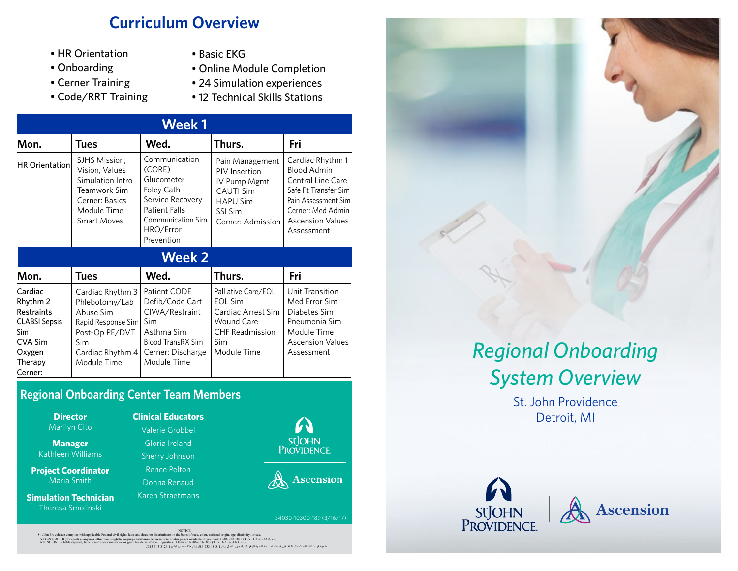## **Curriculum Overview**

- HR Orientation
- Onboarding
- Cerner Training
- Code/RRT Training
- Basic EKG
- Online Module Completion
- 24 Simulation experiences
- 12 Technical Skills Stations

| <b>Week1</b>                                                                                                              |                                                                                                                                   |                                                                                                                                                 |                                                                                                                                  |                                                                                                                                                                                 |  |
|---------------------------------------------------------------------------------------------------------------------------|-----------------------------------------------------------------------------------------------------------------------------------|-------------------------------------------------------------------------------------------------------------------------------------------------|----------------------------------------------------------------------------------------------------------------------------------|---------------------------------------------------------------------------------------------------------------------------------------------------------------------------------|--|
| Mon.                                                                                                                      | <b>Tues</b>                                                                                                                       | Wed.                                                                                                                                            | Thurs.                                                                                                                           | Fri                                                                                                                                                                             |  |
| <b>HR Orientation</b>                                                                                                     | SJHS Mission,<br>Vision, Values<br>Simulation Intro<br>Teamwork Sim<br>Cerner: Basics<br>Module Time<br><b>Smart Moves</b>        | Communication<br>(CORE)<br>Glucometer<br>Foley Cath<br>Service Recovery<br><b>Patient Falls</b><br>Communication Sim<br>HRO/Error<br>Prevention | Pain Management<br>PIV Insertion<br>IV Pump Mgmt<br><b>CAUTI Sim</b><br><b>HAPU Sim</b><br>SSI Sim<br>Cerner: Admission          | Cardiac Rhythm 1<br><b>Blood Admin</b><br><b>Central Line Care</b><br>Safe Pt Transfer Sim<br>Pain Assessment Sim<br>Cerner: Med Admin<br><b>Ascension Values</b><br>Assessment |  |
| <b>Week 2</b>                                                                                                             |                                                                                                                                   |                                                                                                                                                 |                                                                                                                                  |                                                                                                                                                                                 |  |
| Mon.                                                                                                                      | <b>Tues</b>                                                                                                                       | Wed.                                                                                                                                            | Thurs.                                                                                                                           | Fri                                                                                                                                                                             |  |
| Cardiac<br>Rhythm 2<br><b>Restraints</b><br><b>CLABSI Sepsis</b><br><b>Sim</b><br>CVA Sim<br>Oxygen<br>Therapy<br>Cerner: | Cardiac Rhythm 3<br>Phlebotomy/Lab<br>Abuse Sim<br>Rapid Response Sim<br>Post-Op PE/DVT<br>Sim<br>Cardiac Rhythm 4<br>Module Time | Patient CODE<br>Defib/Code Cart<br>CIWA/Restraint<br><b>Sim</b><br>Asthma Sim<br><b>Blood TransRX Sim</b><br>Cerner: Discharge<br>Module Time   | Palliative Care/EOL<br><b>EOL Sim</b><br>Cardiac Arrest Sim<br><b>Wound Care</b><br><b>CHF Readmission</b><br>Sim<br>Module Time | Unit Transition<br>Med Error Sim<br>Diabetes Sim<br>Pneumonia Sim<br>Module Time<br><b>Ascension Values</b><br>Assessment                                                       |  |

### **Regional Onboarding Center Team Members**

| <b>Director</b><br><b>Marilyn Cito</b> |  |
|----------------------------------------|--|
| <b>Manager</b><br>Kathleen Williams    |  |
| <b>Project Coordinator</b>             |  |

Maria Smith **Simulation Technician** Theresa Smolinski

Gloria Ireland Sherry Johnson Renee Pelton Donna Renaud

Karen Straetmans

**Clinical Educators** Valerie Grobbel



A Ascension

34030-10300-189 (3/16/17)



St. John Providence **Director Clinical Educators Clinical Educators Clinical Educators Clinical Educators Clinical Educators Clinical Educators** 





St. John Providence complies with applicable Federal civil rights laws and does not discriminate on the Datis of race, color, mational origin, age, disability, or sex.<br>ATENTION: If low speak a language other that individu